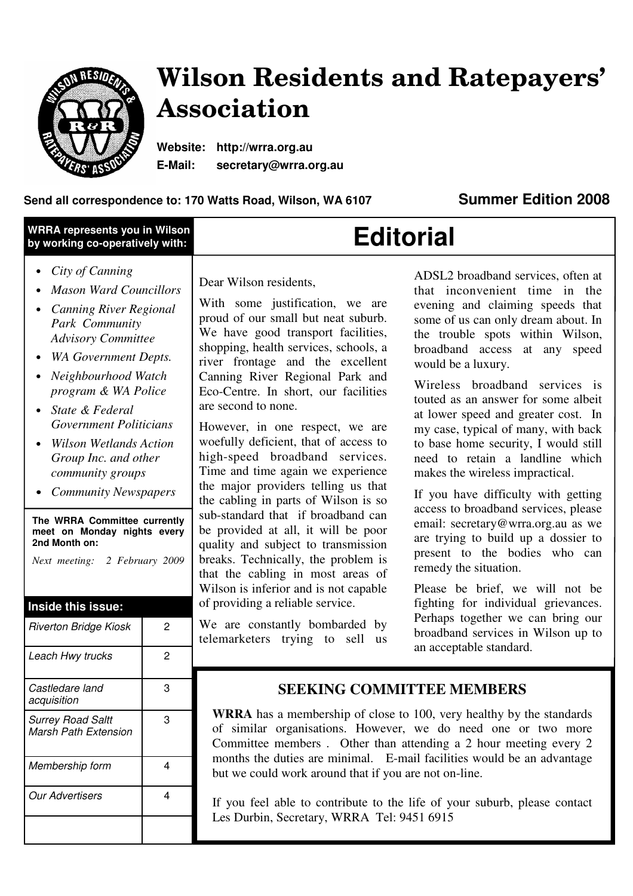

# **Wilson Residents and Ratepayers' Association**

**Website: http://wrra.org.au E-Mail: secretary@wrra.org.au** 

### **Send all correspondence to: 170 Watts Road, Wilson, WA 6107 Summer Edition 2008**

| WRRA represents you in Wilson   |  |
|---------------------------------|--|
| by working co-operatively with: |  |

# **Editorial**

- *City of Canning*
- *Mason Ward Councillors*
- *Canning River Regional Park Community Advisory Committee*
- *WA Government Depts.*
- *Neighbourhood Watch program & WA Police*
- *State & Federal Government Politicians*
- *Wilson Wetlands Action Group Inc. and other community groups*
- *Community Newspapers*

**The WRRA Committee currently meet on Monday nights every 2nd Month on:** 

*Next meeting: 2 February 2009*

### **Inside this issue:**

| Riverton Bridge Kiosk                                   | 2 |
|---------------------------------------------------------|---|
| Leach Hwy trucks                                        | 2 |
| Castledare land<br>acquisition                          | 3 |
| <b>Surrey Road Saltt</b><br><b>Marsh Path Extension</b> | 3 |
| Membership form                                         | 4 |
| Our Advertisers                                         | 4 |
|                                                         |   |

Dear Wilson residents,

With some justification, we are proud of our small but neat suburb. We have good transport facilities, shopping, health services, schools, a river frontage and the excellent Canning River Regional Park and Eco-Centre. In short, our facilities are second to none.

However, in one respect, we are woefully deficient, that of access to high-speed broadband services. Time and time again we experience the major providers telling us that the cabling in parts of Wilson is so sub-standard that if broadband can be provided at all, it will be poor quality and subject to transmission breaks. Technically, the problem is that the cabling in most areas of Wilson is inferior and is not capable of providing a reliable service.

We are constantly bombarded by telemarketers trying to sell us

ADSL2 broadband services, often at that inconvenient time in the evening and claiming speeds that some of us can only dream about. In the trouble spots within Wilson, broadband access at any speed would be a luxury.

Wireless broadband services is touted as an answer for some albeit at lower speed and greater cost. In my case, typical of many, with back to base home security, I would still need to retain a landline which makes the wireless impractical.

If you have difficulty with getting access to broadband services, please email: secretary@wrra.org.au as we are trying to build up a dossier to present to the bodies who can remedy the situation.

Please be brief, we will not be fighting for individual grievances. Perhaps together we can bring our broadband services in Wilson up to an acceptable standard.

## **SEEKING COMMITTEE MEMBERS**

**WRRA** has a membership of close to 100, very healthy by the standards of similar organisations. However, we do need one or two more Committee members . Other than attending a 2 hour meeting every 2 months the duties are minimal. E-mail facilities would be an advantage but we could work around that if you are not on-line.

If you feel able to contribute to the life of your suburb, please contact Les Durbin, Secretary, WRRA Tel: 9451 6915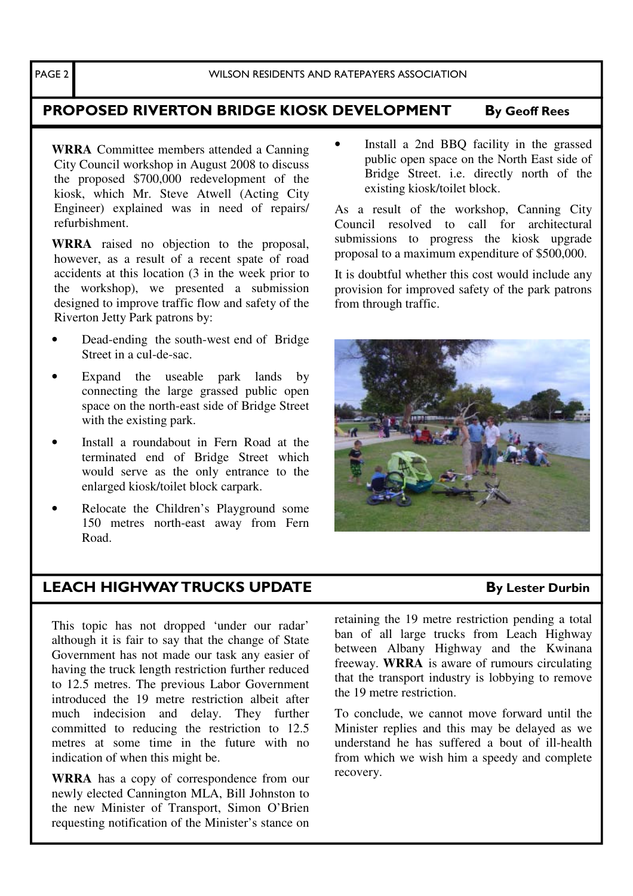# PROPOSED RIVERTON BRIDGE KIOSK DEVELOPMENT By Geoff Rees

**WRRA** Committee members attended a Canning City Council workshop in August 2008 to discuss the proposed \$700,000 redevelopment of the kiosk, which Mr. Steve Atwell (Acting City Engineer) explained was in need of repairs/ refurbishment.

**WRRA** raised no objection to the proposal, however, as a result of a recent spate of road accidents at this location (3 in the week prior to the workshop), we presented a submission designed to improve traffic flow and safety of the Riverton Jetty Park patrons by:

- Dead-ending the south-west end of Bridge Street in a cul-de-sac.
- Expand the useable park lands by connecting the large grassed public open space on the north-east side of Bridge Street with the existing park.
- Install a roundabout in Fern Road at the terminated end of Bridge Street which would serve as the only entrance to the enlarged kiosk/toilet block carpark.
- Relocate the Children's Playground some 150 metres north-east away from Fern Road.

Install a 2nd BBQ facility in the grassed public open space on the North East side of Bridge Street. i.e. directly north of the existing kiosk/toilet block.

As a result of the workshop, Canning City Council resolved to call for architectural submissions to progress the kiosk upgrade proposal to a maximum expenditure of \$500,000.

It is doubtful whether this cost would include any provision for improved safety of the park patrons from through traffic.



# LEACH HIGHWAY TRUCKS UPDATE By Lester Durbin

This topic has not dropped 'under our radar' although it is fair to say that the change of State Government has not made our task any easier of having the truck length restriction further reduced to 12.5 metres. The previous Labor Government introduced the 19 metre restriction albeit after much indecision and delay. They further committed to reducing the restriction to 12.5 metres at some time in the future with no indication of when this might be.

**WRRA** has a copy of correspondence from our newly elected Cannington MLA, Bill Johnston to the new Minister of Transport, Simon O'Brien requesting notification of the Minister's stance on retaining the 19 metre restriction pending a total ban of all large trucks from Leach Highway between Albany Highway and the Kwinana freeway. **WRRA** is aware of rumours circulating that the transport industry is lobbying to remove the 19 metre restriction.

To conclude, we cannot move forward until the Minister replies and this may be delayed as we understand he has suffered a bout of ill-health from which we wish him a speedy and complete recovery.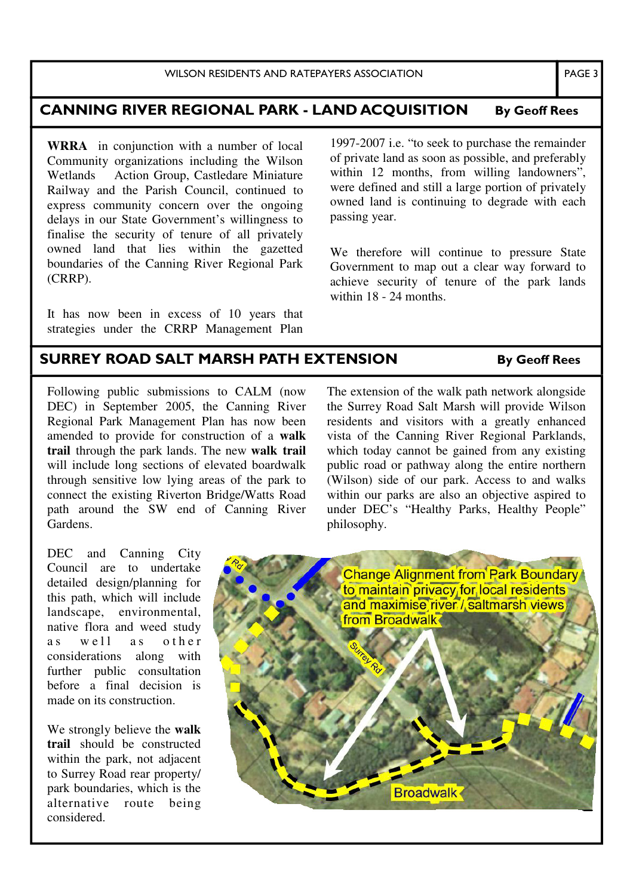## CANNING RIVER REGIONAL PARK - LAND ACQUISITION By Geoff Rees

**WRRA** in conjunction with a number of local Community organizations including the Wilson Wetlands Action Group, Castledare Miniature Railway and the Parish Council, continued to express community concern over the ongoing delays in our State Government's willingness to finalise the security of tenure of all privately owned land that lies within the gazetted boundaries of the Canning River Regional Park (CRRP).

It has now been in excess of 10 years that strategies under the CRRP Management Plan

1997-2007 i.e. "to seek to purchase the remainder of private land as soon as possible, and preferably within 12 months, from willing landowners". were defined and still a large portion of privately owned land is continuing to degrade with each passing year.

We therefore will continue to pressure State Government to map out a clear way forward to achieve security of tenure of the park lands within 18 - 24 months.

### SURREY ROAD SALT MARSH PATH EXTENSION By Geoff Rees

Following public submissions to CALM (now DEC) in September 2005, the Canning River Regional Park Management Plan has now been amended to provide for construction of a **walk trail** through the park lands. The new **walk trail** will include long sections of elevated boardwalk through sensitive low lying areas of the park to connect the existing Riverton Bridge/Watts Road path around the SW end of Canning River Gardens.

The extension of the walk path network alongside the Surrey Road Salt Marsh will provide Wilson residents and visitors with a greatly enhanced vista of the Canning River Regional Parklands, which today cannot be gained from any existing public road or pathway along the entire northern (Wilson) side of our park. Access to and walks within our parks are also an objective aspired to under DEC's "Healthy Parks, Healthy People" philosophy.

DEC and Canning City Council are to undertake detailed design/planning for this path, which will include landscape, environmental, native flora and weed study as well as other considerations along with further public consultation before a final decision is made on its construction.

We strongly believe the **walk trail** should be constructed within the park, not adjacent to Surrey Road rear property/ park boundaries, which is the alternative route being considered.